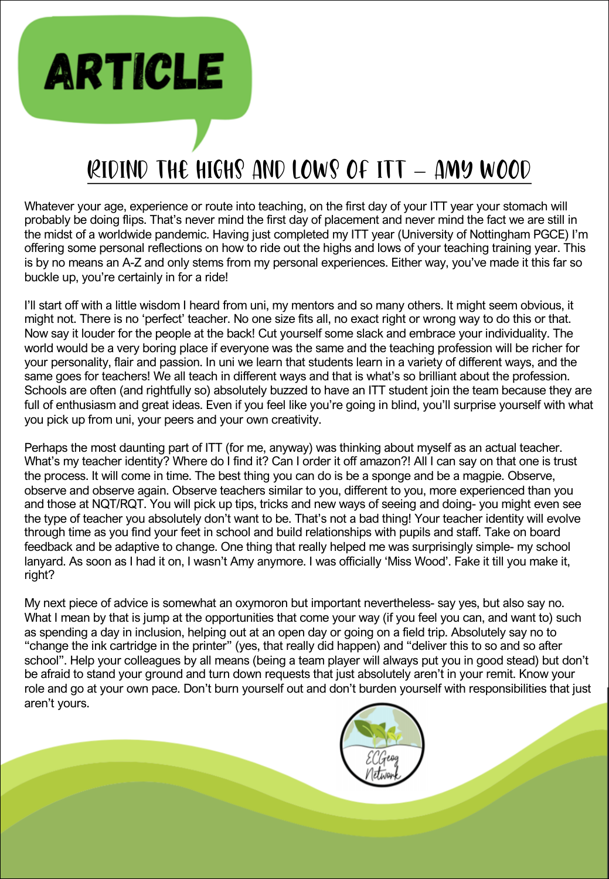## RIDIND THE HIGHS AND LOWS OF ITT – AMY WOOD

**ARTICLE** 

Whatever your age, experience or route into teaching, on the first day of your ITT year your stomach will probably be doing flips. That's never mind the first day of placement and never mind the fact we are still in the midst of a worldwide pandemic. Having just completed my ITT year (University of Nottingham PGCE) I'm offering some personal reflections on how to ride out the highs and lows of your teaching training year. This is by no means an A-Z and only stems from my personal experiences. Either way, you've made it this far so buckle up, you're certainly in for a ride!

I'll start off with a little wisdom I heard from uni, my mentors and so many others. It might seem obvious, it might not. There is no 'perfect' teacher. No one size fits all, no exact right or wrong way to do this or that. Now say it louder for the people at the back! Cut yourself some slack and embrace your individuality. The world would be a very boring place if everyone was the same and the teaching profession will be richer for your personality, flair and passion. In uni we learn that students learn in a variety of different ways, and the same goes for teachers! We all teach in different ways and that is what's so brilliant about the profession. Schools are often (and rightfully so) absolutely buzzed to have an ITT student join the team because they are full of enthusiasm and great ideas. Even if you feel like you're going in blind, you'll surprise yourself with what you pick up from uni, your peers and your own creativity.

Perhaps the most daunting part of ITT (for me, anyway) was thinking about myself as an actual teacher. What's my teacher identity? Where do I find it? Can I order it off amazon?! All I can say on that one is trust the process. It will come in time. The best thing you can do is be a sponge and be a magpie. Observe, observe and observe again. Observe teachers similar to you, different to you, more experienced than you and those at NQT/RQT. You will pick up tips, tricks and new ways of seeing and doing- you might even see the type of teacher you absolutely don't want to be. That's not a bad thing! Your teacher identity will evolve through time as you find your feet in school and build relationships with pupils and staff. Take on board feedback and be adaptive to change. One thing that really helped me was surprisingly simple- my school lanyard. As soon as I had it on, I wasn't Amy anymore. I was officially 'Miss Wood'. Fake it till you make it, right?

My next piece of advice is somewhat an oxymoron but important nevertheless- say yes, but also say no. What I mean by that is jump at the opportunities that come your way (if you feel you can, and want to) such as spending a day in inclusion, helping out at an open day or going on a field trip. Absolutely say no to "change the ink cartridge in the printer" (yes, that really did happen) and "deliver this to so and so after school". Help your colleagues by all means (being a team player will always put you in good stead) but don't be afraid to stand your ground and turn down requests that just absolutely aren't in your remit. Know your role and go at your own pace. Don't burn yourself out and don't burden yourself with responsibilities that just aren't yours.